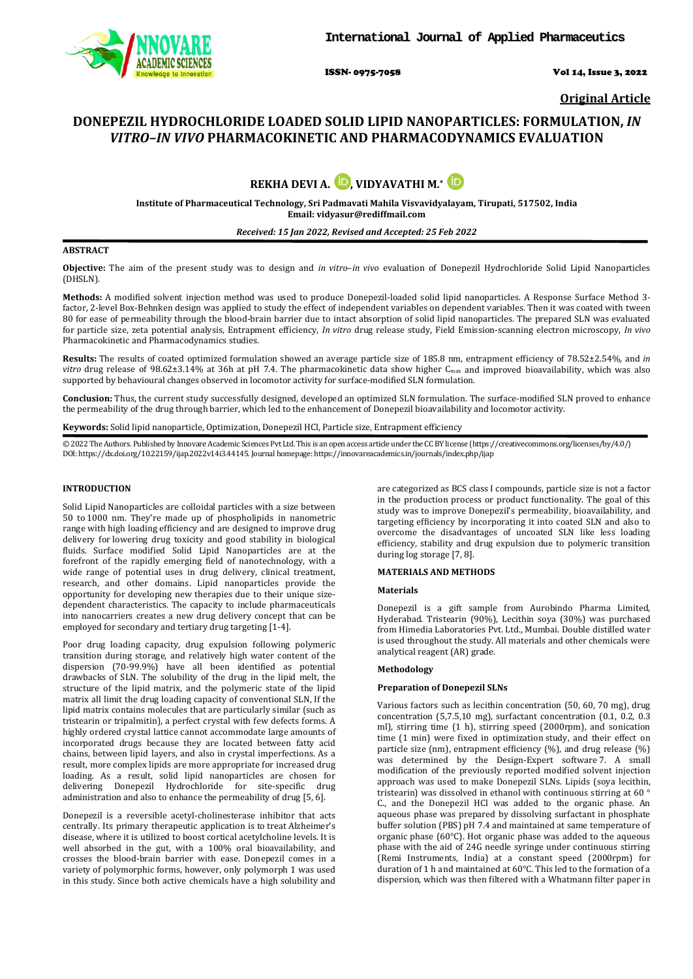

ISSN- 0975-7058 Vol 14, Issue 3, 2022

**Original Article**

# **DONEPEZIL HYDROCHLORIDE LOADED SOLID LIPID NANOPARTICLES: FORMULATION,** *IN VITRO–IN VIVO* **PHARMACOKINETIC AND PHARMACODYNAMICS EVALUATION**



**Institute of Pharmaceutical Technology, Sri Padmavati Mahila Visvavidyalayam, Tirupati, 517502, India Email[: vidyasur@rediffmail.com](mailto:vidyasur@rediffmail.com)**

# *Received: 15 Jan 2022, Revised and Accepted: 25 Feb 2022*

# **ABSTRACT**

**Objective:** The aim of the present study was to design and *in vitro*–*in vivo* evaluation of Donepezil Hydrochloride Solid Lipid Nanoparticles (DHSLN).

**Methods:** A modified solvent injection method was used to produce Donepezil-loaded solid lipid nanoparticles. A Response Surface Method 3 factor, 2-level Box-Behnken design was applied to study the effect of independent variables on dependent variables. Then it was coated with tween 80 for ease of permeability through the blood-brain barrier due to intact absorption of solid lipid nanoparticles. The prepared SLN was evaluated for particle size, zeta potential analysis, Entrapment efficiency, *In vitro* drug release study, Field Emission-scanning electron microscopy, *In vivo* Pharmacokinetic and Pharmacodynamics studies.

**Results:** The results of coated optimized formulation showed an average particle size of 185.8 nm, entrapment efficiency of 78.52±2.54%, and *in vitro* drug release of 98.62±3.14% at 36h at pH 7.4. The pharmacokinetic data show higher Cmax and improved bioavailability, which was also supported by behavioural changes observed in locomotor activity for surface-modified SLN formulation.

**Conclusion:** Thus, the current study successfully designed, developed an optimized SLN formulation. The surface-modified SLN proved to enhance the permeability of the drug through barrier, which led to the enhancement of Donepezil bioavailability and locomotor activity.

**Keywords:** Solid lipid nanoparticle, Optimization, Donepezil HCl, Particle size, Entrapment efficiency

© 2022 The Authors. Published by Innovare Academic Sciences Pvt Ltd. This is an open access article under the CC BY license [\(https://creativecommons.org/licenses/by/4.0/\)](https://creativecommons.org/licenses/by/4.0/) DOI: https://dx.doi.org/10.22159/ijap.2022v14i3.44145. Journal homepage[: https://innovareacademics.in/journals/index.php/ijap](https://innovareacademics.in/journals/index.php/ijap)

# **INTRODUCTION**

Solid Lipid Nanoparticles are colloidal particles with a size between 50 to 1000 nm. They're made up of phospholipids in nanometric range with high loading efficiency and are designed to improve drug delivery for lowering drug toxicity and good stability in biological fluids. Surface modified Solid Lipid Nanoparticles are at the forefront of the rapidly emerging field of nanotechnology, with a wide range of potential uses in drug delivery, clinical treatment, research, and other domains. Lipid nanoparticles provide the opportunity for developing new therapies due to their unique sizedependent characteristics. The capacity to include pharmaceuticals into nanocarriers creates a new drug delivery concept that can be employed for secondary and tertiary drug targeting [1-4].

Poor drug loading capacity, drug expulsion following polymeric transition during storage, and relatively high water content of the dispersion (70-99.9%) have all been identified as potential drawbacks of SLN. The solubility of the drug in the lipid melt, the structure of the lipid matrix, and the polymeric state of the lipid matrix all limit the drug loading capacity of conventional SLN, If the lipid matrix contains molecules that are particularly similar (such as tristearin or tripalmitin), a perfect crystal with few defects forms. A highly ordered crystal lattice cannot accommodate large amounts of incorporated drugs because they are located between fatty acid chains, between lipid layers, and also in crystal imperfections. As a result, more complex lipids are more appropriate for increased drug loading. As a result, solid lipid nanoparticles are chosen for delivering Donepezil Hydrochloride for site-specific drug administration and also to enhance the permeability of drug [5, 6].

Donepezil is a reversible acetyl-cholinesterase inhibitor that acts centrally. Its primary therapeutic application is to treat Alzheimer's disease, where it is utilized to boost cortical acetylcholine levels. It is well absorbed in the gut, with a 100% oral bioavailability, and crosses the blood-brain barrier with ease. Donepezil comes in a variety of polymorphic forms, however, only polymorph 1 was used in this study. Since both active chemicals have a high solubility and are categorized as BCS class I compounds, particle size is not a factor in the production process or product functionality. The goal of this study was to improve Donepezil's permeability, bioavailability, and targeting efficiency by incorporating it into coated SLN and also to overcome the disadvantages of uncoated SLN like less loading efficiency, stability and drug expulsion due to polymeric transition during log storage [7, 8].

# **MATERIALS AND METHODS**

# **Materials**

Donepezil is a gift sample from Aurobindo Pharma Limited, Hyderabad. Tristearin (90%), Lecithin soya (30%) was purchased from Himedia Laboratories Pvt. Ltd., Mumbai. Double distilled water is used throughout the study. All materials and other chemicals were analytical reagent (AR) grade.

#### **Methodology**

# **Preparation of Donepezil SLNs**

Various factors such as lecithin concentration (50, 60, 70 mg), drug concentration (5,7.5,10 mg), surfactant concentration (0.1, 0.2, 0.3 ml), stirring time (1 h), stirring speed (2000rpm), and sonication time (1 min) were fixed in optimization study, and their effect on particle size (nm), entrapment efficiency (%), and drug release (%) was determined by the Design-Expert software 7. A small modification of the previously reported modified solvent injection approach was used to make Donepezil SLNs. Lipids (soya lecithin, tristearin) was dissolved in ethanol with continuous stirring at 60 ° C., and the Donepezil HCl was added to the organic phase. An aqueous phase was prepared by dissolving surfactant in phosphate buffer solution (PBS) pH 7.4 and maintained at same temperature of organic phase (60°C). Hot organic phase was added to the aqueous phase with the aid of 24G needle syringe under continuous stirring (Remi Instruments, India) at a constant speed (2000rpm) for duration of 1 h and maintained at 60°C. This led to the formation of a dispersion, which was then filtered with a Whatmann filter paper in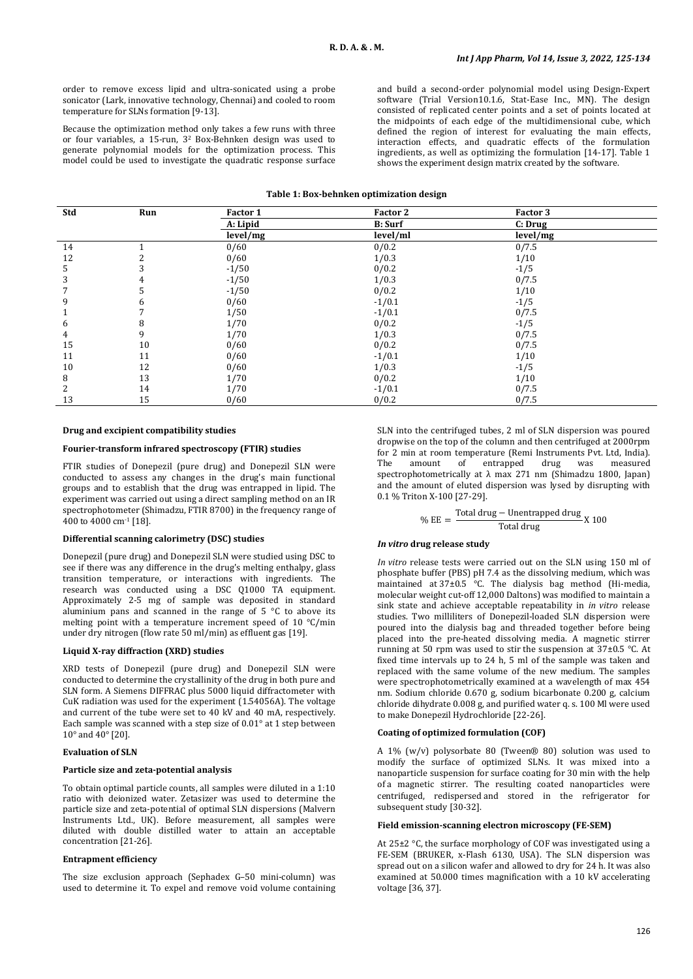order to remove excess lipid and ultra-sonicated using a probe sonicator (Lark, innovative technology, Chennai) and cooled to room temperature for SLNs formation [9-13].

Because the optimization method only takes a few runs with three or four variables, a 15-run, 32 Box-Behnken design was used to generate polynomial models for the optimization process. This model could be used to investigate the quadratic response surface and build a second-order polynomial model using Design-Expert software (Trial Version10.1.6, Stat-Ease Inc., MN). The design consisted of replicated center points and a set of points located at the midpoints of each edge of the multidimensional cube, which defined the region of interest for evaluating the main effects, interaction effects, and quadratic effects of the formulation ingredients, as well as optimizing the formulation [14-17]. Table 1 shows the experiment design matrix created by the software.

#### **Table 1: Box-behnken optimization design**

| Std | Run | Factor 1 | Factor 2       | Factor 3 |  |
|-----|-----|----------|----------------|----------|--|
|     |     | A: Lipid | <b>B:</b> Surf | C: Drug  |  |
|     |     | level/mg | level/ml       | level/mg |  |
| 14  |     | 0/60     | 0/0.2          | 0/7.5    |  |
| 12  |     | 0/60     | 1/0.3          | 1/10     |  |
| 5   |     | $-1/50$  | 0/0.2          | $-1/5$   |  |
| 3   | 4   | $-1/50$  | 1/0.3          | 0/7.5    |  |
| 7   | C   | $-1/50$  | 0/0.2          | 1/10     |  |
| 9   | 6   | 0/60     | $-1/0.1$       | $-1/5$   |  |
| 1   |     | 1/50     | $-1/0.1$       | 0/7.5    |  |
| 6   | 8   | 1/70     | 0/0.2          | $-1/5$   |  |
| 4   | 9   | 1/70     | 1/0.3          | 0/7.5    |  |
| 15  | 10  | 0/60     | 0/0.2          | 0/7.5    |  |
| 11  | 11  | 0/60     | $-1/0.1$       | 1/10     |  |
| 10  | 12  | 0/60     | 1/0.3          | $-1/5$   |  |
| 8   | 13  | 1/70     | 0/0.2          | 1/10     |  |
| 2   | 14  | 1/70     | $-1/0.1$       | 0/7.5    |  |
| 13  | 15  | 0/60     | 0/0.2          | 0/7.5    |  |

#### **Drug and excipient compatibility studies**

# **Fourier-transform infrared spectroscopy (FTIR) studies**

FTIR studies of Donepezil (pure drug) and Donepezil SLN were conducted to assess any changes in the drug's main functional groups and to establish that the drug was entrapped in lipid. The experiment was carried out using a direct sampling method on an IR spectrophotometer (Shimadzu, FTIR 8700) in the frequency range of 400 to 4000 cm-1 [18].

# **Differential scanning calorimetry (DSC) studies**

Donepezil (pure drug) and Donepezil SLN were studied using DSC to see if there was any difference in the drug's melting enthalpy, glass transition temperature, or interactions with ingredients. The research was conducted using a DSC Q1000 TA equipment. Approximately 2-5 mg of sample was deposited in standard aluminium pans and scanned in the range of 5 °C to above its melting point with a temperature increment speed of 10 °C/min under dry nitrogen (flow rate 50 ml/min) as effluent gas [19].

### **Liquid X-ray diffraction (XRD) studies**

XRD tests of Donepezil (pure drug) and Donepezil SLN were conducted to determine the crystallinity of the drug in both pure and SLN form. A Siemens DIFFRAC plus 5000 liquid diffractometer with CuK radiation was used for the experiment (1.54056A). The voltage and current of the tube were set to 40 kV and 40 mA, respectively. Each sample was scanned with a step size of 0.01° at 1 step between 10 $^{\circ}$  and 40 $^{\circ}$  [20].

#### **Evaluation of SLN**

#### **Particle size and zeta-potential analysis**

To obtain optimal particle counts, all samples were diluted in a 1:10 ratio with deionized water. Zetasizer was used to determine the particle size and zeta-potential of optimal SLN dispersions (Malvern Instruments Ltd., UK). Before measurement, all samples were diluted with double distilled water to attain an acceptable concentration [21-26].

# **Entrapment efficiency**

The size exclusion approach (Sephadex G–50 mini-column) was used to determine it. To expel and remove void volume containing

SLN into the centrifuged tubes, 2 ml of SLN dispersion was poured dropwise on the top of the column and then centrifuged at 2000rpm for 2 min at room temperature (Remi Instruments Pvt. Ltd, India).<br>The amount of entrapped drug was measured The amount of entrapped drug was measured spectrophotometrically at λ max 271 nm (Shimadzu 1800, Japan) and the amount of eluted dispersion was lysed by disrupting with 0.1 % Triton X-100 [27-29].

%  $EE = \frac{\text{Total drug} - \text{Unentrapped drug}}{\text{Total drug}}$  X 100

#### *In vitro* **drug release study**

*In vitro* release tests were carried out on the SLN using 150 ml of phosphate buffer (PBS) pH 7.4 as the dissolving medium, which was maintained at 37±0.5 °C. The dialysis bag method (Hi-media, molecular weight cut-off 12,000 Daltons) was modified to maintain a sink state and achieve acceptable repeatability in *in vitro* release studies. Two milliliters of Donepezil-loaded SLN dispersion were poured into the dialysis bag and threaded together before being placed into the pre-heated dissolving media. A magnetic stirrer running at 50 rpm was used to stir the suspension at 37±0.5 °C. At fixed time intervals up to 24 h, 5 ml of the sample was taken and replaced with the same volume of the new medium. The samples were spectrophotometrically examined at a wavelength of max 454 nm. Sodium chloride 0.670 g, sodium bicarbonate 0.200 g, calcium chloride dihydrate 0.008 g, and purified water q. s. 100 Ml were used to make Donepezil Hydrochloride [22-26].

#### **Coating of optimized formulation (COF)**

A 1% (w/v) polysorbate 80 (Tween® 80) solution was used to modify the surface of optimized SLNs. It was mixed into a nanoparticle suspension for surface coating for 30 min with the help of a magnetic stirrer. The resulting coated nanoparticles were centrifuged, redispersed and stored in the refrigerator for subsequent study [30-32].

### **Field emission-scanning electron microscopy (FE-SEM)**

At 25±2 °C, the surface morphology of COF was investigated using a FE-SEM (BRUKER, x-Flash 6130, USA). The SLN dispersion was spread out on a silicon wafer and allowed to dry for 24 h. It was also examined at 50.000 times magnification with a 10 kV accelerating voltage [36, 37].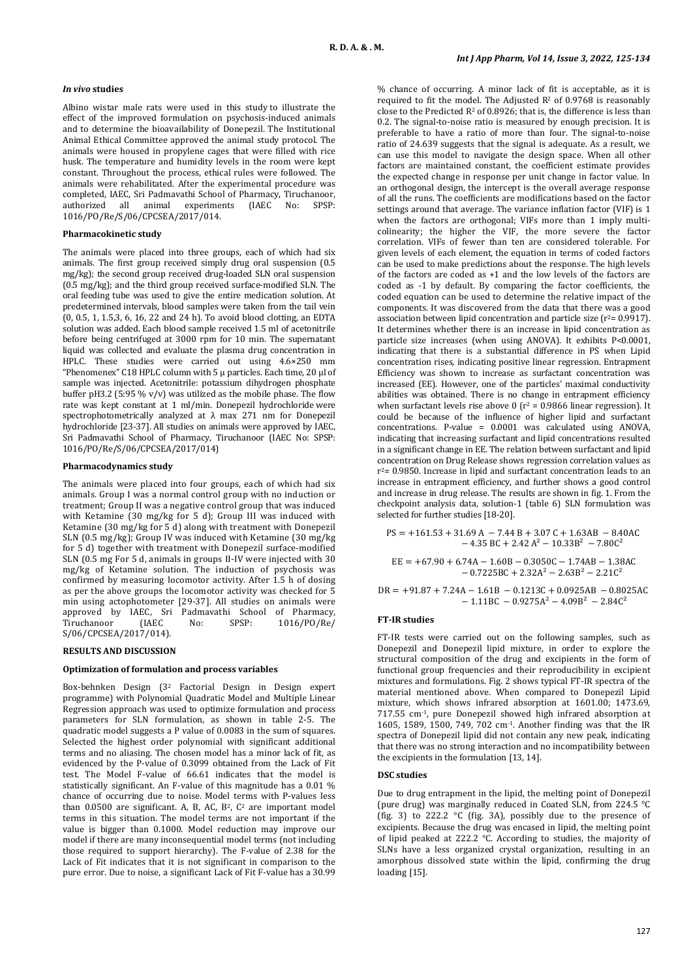# *In vivo* **studies**

Albino wistar male rats were used in this study to illustrate the effect of the improved formulation on psychosis-induced animals and to determine the bioavailability of Donepezil. The Institutional Animal Ethical Committee approved the animal study protocol. The animals were housed in propylene cages that were filled with rice husk. The temperature and humidity levels in the room were kept constant. Throughout the process, ethical rules were followed. The animals were rehabilitated. After the experimental procedure was completed, IAEC, Sri Padmavathi School of Pharmacy, Tiruchanoor, authorized all animal experiments 1016/PO/Re/S/06/CPCSEA/2017/014.

# **Pharmacokinetic study**

The animals were placed into three groups, each of which had six animals. The first group received simply drug oral suspension (0.5 mg/kg); the second group received drug-loaded SLN oral suspension (0.5 mg/kg); and the third group received surface-modified SLN. The oral feeding tube was used to give the entire medication solution. At predetermined intervals, blood samples were taken from the tail vein (0, 0.5, 1, 1.5,3, 6, 16, 22 and 24 h). To avoid blood clotting, an EDTA solution was added. Each blood sample received 1.5 ml of acetonitrile before being centrifuged at 3000 rpm for 10 min. The supernatant liquid was collected and evaluate the plasma drug concentration in HPLC. These studies were carried out using 4.6×250 mm "Phenomenex" C18 HPLC column with 5  $\mu$  particles. Each time, 20  $\mu$ l of sample was injected. Acetonitrile: potassium dihydrogen phosphate buffer pH3.2 (5:95  $\%$  v/v) was utilized as the mobile phase. The flow rate was kept constant at 1 ml/min. Donepezil hydrochloride were spectrophotometrically analyzed at λ max 271 nm for Donepezil hydrochloride [23-37]. All studies on animals were approved by IAEC, Sri Padmavathi School of Pharmacy, Tiruchanoor (IAEC No: SPSP: 1016/PO/Re/S/06/CPCSEA/2017/014)

### **Pharmacodynamics study**

The animals were placed into four groups, each of which had six animals. Group I was a normal control group with no induction or treatment; Group II was a negative control group that was induced with Ketamine (30 mg/kg for 5 d); Group III was induced with Ketamine (30 mg/kg for 5 d) along with treatment with Donepezil SLN (0.5 mg/kg); Group IV was induced with Ketamine (30 mg/kg for 5 d) together with treatment with Donepezil surface-modified SLN (0.5 mg For 5 d, animals in groups II-IV were injected with 30 mg/kg of Ketamine solution. The induction of psychosis was confirmed by measuring locomotor activity. After 1.5 h of dosing as per the above groups the locomotor activity was checked for 5 min using actophotometer [29-37]. All studies on animals were<br>approved by IAEC, Sri Padmavathi School of Pharmacy, approved by IAEC, Sri Padmavathi School of Pharmacy,<br>Tiruchanoor (IAEC No: SPSP: 1016/PO/Re/ Tiruchanoor (IAEC No: SPSP: 1016/PO/Re/ S/06/CPCSEA/2017/014).

### **RESULTS AND DISCUSSION**

#### **Optimization of formulation and process variables**

Box-behnken Design (32 Factorial Design in Design expert programme) with Polynomial Quadratic Model and Multiple Linear Regression approach was used to optimize formulation and process parameters for SLN formulation, as shown in table 2-5. The quadratic model suggests a P value of 0.0083 in the sum of squares. Selected the highest order polynomial with significant additional terms and no aliasing. The chosen model has a minor lack of fit, as evidenced by the P-value of 0.3099 obtained from the Lack of Fit test. The Model F-value of 66.61 indicates that the model is statistically significant. An F-value of this magnitude has a 0.01 % chance of occurring due to noise. Model terms with P-values less than 0.0500 are significant. A, B, AC, B<sup>2</sup>, C<sup>2</sup> are important model terms in this situation. The model terms are not important if the value is bigger than 0.1000. Model reduction may improve our model if there are many inconsequential model terms (not including those required to support hierarchy). The F-value of 2.38 for the Lack of Fit indicates that it is not significant in comparison to the pure error. Due to noise, a significant Lack of Fit F-value has a 30.99

% chance of occurring. A minor lack of fit is acceptable, as it is required to fit the model. The Adjusted  $\mathbb{R}^2$  of 0.9768 is reasonably close to the Predicted  $R^2$  of 0.8926; that is, the difference is less than 0.2. The signal-to-noise ratio is measured by enough precision. It is preferable to have a ratio of more than four. The signal-to-noise ratio of 24.639 suggests that the signal is adequate. As a result, we can use this model to navigate the design space. When all other factors are maintained constant, the coefficient estimate provides the expected change in response per unit change in factor value. In an orthogonal design, the intercept is the overall average response of all the runs. The coefficients are modifications based on the factor settings around that average. The variance inflation factor (VIF) is 1 when the factors are orthogonal; VIFs more than 1 imply multicolinearity; the higher the VIF, the more severe the factor correlation. VIFs of fewer than ten are considered tolerable. For given levels of each element, the equation in terms of coded factors can be used to make predictions about the response. The high levels of the factors are coded as +1 and the low levels of the factors are coded as -1 by default. By comparing the factor coefficients, the coded equation can be used to determine the relative impact of the components. It was discovered from the data that there was a good association between lipid concentration and particle size ( $r^2$ = 0.9917). It determines whether there is an increase in lipid concentration as particle size increases (when using ANOVA). It exhibits P<0.0001, indicating that there is a substantial difference in PS when Lipid concentration rises, indicating positive linear regression. Entrapment Efficiency was shown to increase as surfactant concentration was increased (EE). However, one of the particles' maximal conductivity abilities was obtained. There is no change in entrapment efficiency when surfactant levels rise above 0 ( $r^2 = 0.9866$  linear regression). It could be because of the influence of higher lipid and surfactant concentrations. P-value = 0.0001 was calculated using ANOVA, indicating that increasing surfactant and lipid concentrations resulted in a significant change in EE. The relation between surfactant and lipid concentration on Drug Release shows regression correlation values as  $r^2$ = 0.9850. Increase in lipid and surfactant concentration leads to an increase in entrapment efficiency, and further shows a good control and increase in drug release. The results are shown in fig. 1. From the checkpoint analysis data, solution-1 (table 6) SLN formulation was selected for further studies [18-20].

$$
PS = +161.53 + 31.69 A - 7.44 B + 3.07 C + 1.63AB - 8.40AC - 4.35 BC + 2.42 A2 - 10.33B2 - 7.80C2
$$

$$
EE = +67.90 + 6.74A - 1.60B - 0.3050C - 1.74AB - 1.38AC - 0.7225BC + 2.32A2 - 2.63B2 - 2.21C2
$$

 $DR = +91.87 + 7.24A - 1.61B - 0.1213C + 0.0925AB - 0.8025AC$  $-1.11BC - 0.9275A^2 - 4.09B^2 - 2.84C^2$ 

#### **FT-IR studies**

FT-IR tests were carried out on the following samples, such as Donepezil and Donepezil lipid mixture, in order to explore the structural composition of the drug and excipients in the form of functional group frequencies and their reproducibility in excipient mixtures and formulations. Fig. 2 shows typical FT-IR spectra of the material mentioned above. When compared to Donepezil Lipid mixture, which shows infrared absorption at 1601.00; 1473.69, 717.55 cm-1, pure Donepezil showed high infrared absorption at 1605, 1589, 1500, 749, 702 cm-1. Another finding was that the IR spectra of Donepezil lipid did not contain any new peak, indicating that there was no strong interaction and no incompatibility between the excipients in the formulation [13, 14].

#### **DSC studies**

Due to drug entrapment in the lipid, the melting point of Donepezil (pure drug) was marginally reduced in Coated SLN, from 224.5 °C (fig. 3) to 222.2 °C (fig. 3A), possibly due to the presence of excipients. Because the drug was encased in lipid, the melting point of lipid peaked at 222.2 °C. According to studies, the majority of SLNs have a less organized crystal organization, resulting in an amorphous dissolved state within the lipid, confirming the drug loading [15].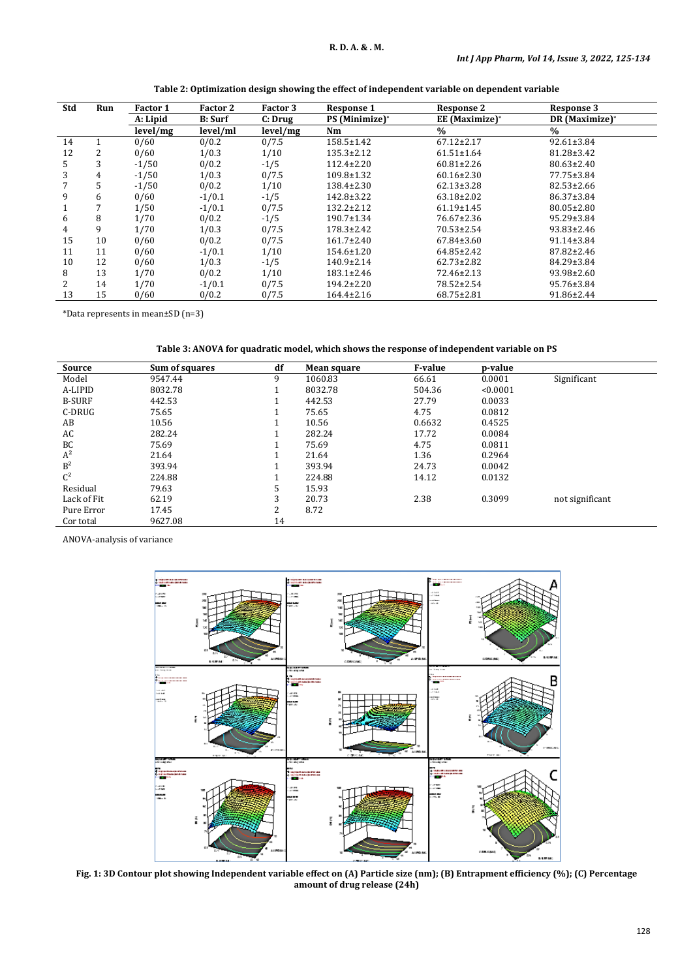| Std | Run | <b>Factor 1</b> | Factor 2       | Factor 3 | <b>Response 1</b>                 | <b>Response 2</b> | Response 3       |
|-----|-----|-----------------|----------------|----------|-----------------------------------|-------------------|------------------|
|     |     | A: Lipid        | <b>B:</b> Surf | C: Drug  | <b>PS</b> (Minimize) <sup>*</sup> | EE (Maximize)*    | DR (Maximize)*   |
|     |     | level/mg        | level/ml       | level/mg | Nm                                | $\frac{0}{0}$     | $\%$             |
| 14  |     | 0/60            | 0/0.2          | 0/7.5    | $158.5 \pm 1.42$                  | $67.12 \pm 2.17$  | $92.61 \pm 3.84$ |
| 12  | 2   | 0/60            | 1/0.3          | 1/10     | $135.3 \pm 2.12$                  | $61.51 \pm 1.64$  | 81.28±3.42       |
| 5.  | 3   | $-1/50$         | 0/0.2          | $-1/5$   | $112.4 \pm 2.20$                  | $60.81 \pm 2.26$  | $80.63 \pm 2.40$ |
| 3   | 4   | $-1/50$         | 1/0.3          | 0/7.5    | $109.8 \pm 1.32$                  | $60.16 \pm 2.30$  | 77.75±3.84       |
|     | 5   | $-1/50$         | 0/0.2          | 1/10     | $138.4 \pm 2.30$                  | $62.13 \pm 3.28$  | $82.53 \pm 2.66$ |
| 9   | 6   | 0/60            | $-1/0.1$       | $-1/5$   | $142.8 \pm 3.22$                  | $63.18 \pm 2.02$  | 86.37±3.84       |
|     |     | 1/50            | $-1/0.1$       | 0/7.5    | $132.2 \pm 2.12$                  | $61.19 \pm 1.45$  | $80.05 \pm 2.80$ |
| 6   | 8   | 1/70            | 0/0.2          | $-1/5$   | $190.7 \pm 1.34$                  | 76.67±2.36        | 95.29±3.84       |
| 4   | 9   | 1/70            | 1/0.3          | 0/7.5    | $178.3 \pm 2.42$                  | $70.53 \pm 2.54$  | $93.83 \pm 2.46$ |
| 15  | 10  | 0/60            | 0/0.2          | 0/7.5    | $161.7 \pm 2.40$                  | $67.84 \pm 3.60$  | $91.14 \pm 3.84$ |
| 11  | 11  | 0/60            | $-1/0.1$       | 1/10     | $154.6 \pm 1.20$                  | $64.85 \pm 2.42$  | 87.82±2.46       |
| 10  | 12  | 0/60            | 1/0.3          | $-1/5$   | $140.9 \pm 2.14$                  | $62.73 \pm 2.82$  | 84.29±3.84       |
| 8   | 13  | 1/70            | 0/0.2          | 1/10     | $183.1 \pm 2.46$                  | 72.46±2.13        | 93.98±2.60       |
| 2   | 14  | 1/70            | $-1/0.1$       | 0/7.5    | $194.2 \pm 2.20$                  | 78.52±2.54        | 95.76±3.84       |
| 13  | 15  | 0/60            | 0/0.2          | 0/7.5    | $164.4 \pm 2.16$                  | $68.75 \pm 2.81$  | $91.86 \pm 2.44$ |

**Table 2: Optimization design showing the effect of independent variable on dependent variable**

\*Data represents in mean±SD (n=3)

|  |  |  | Table 3: ANOVA for quadratic model, which shows the response of independent variable on PS |
|--|--|--|--------------------------------------------------------------------------------------------|
|--|--|--|--------------------------------------------------------------------------------------------|

| Source         | Sum of squares | df | Mean square | <b>F-value</b> | p-value  |                 |
|----------------|----------------|----|-------------|----------------|----------|-----------------|
| Model          | 9547.44        | 9  | 1060.83     | 66.61          | 0.0001   | Significant     |
| A-LIPID        | 8032.78        |    | 8032.78     | 504.36         | < 0.0001 |                 |
| <b>B-SURF</b>  | 442.53         |    | 442.53      | 27.79          | 0.0033   |                 |
| C-DRUG         | 75.65          |    | 75.65       | 4.75           | 0.0812   |                 |
| AB             | 10.56          |    | 10.56       | 0.6632         | 0.4525   |                 |
| AC             | 282.24         |    | 282.24      | 17.72          | 0.0084   |                 |
| BC             | 75.69          |    | 75.69       | 4.75           | 0.0811   |                 |
| $A^2$          | 21.64          |    | 21.64       | 1.36           | 0.2964   |                 |
| B <sup>2</sup> | 393.94         |    | 393.94      | 24.73          | 0.0042   |                 |
| $C^2$          | 224.88         |    | 224.88      | 14.12          | 0.0132   |                 |
| Residual       | 79.63          | 5  | 15.93       |                |          |                 |
| Lack of Fit    | 62.19          | 3  | 20.73       | 2.38           | 0.3099   | not significant |
| Pure Error     | 17.45          | 2  | 8.72        |                |          |                 |
| Cor total      | 9627.08        | 14 |             |                |          |                 |

ANOVA-analysis of variance



**Fig. 1: 3D Contour plot showing Independent variable effect on (A) Particle size (nm); (B) Entrapment efficiency (%); (C) Percentage amount of drug release (24h)**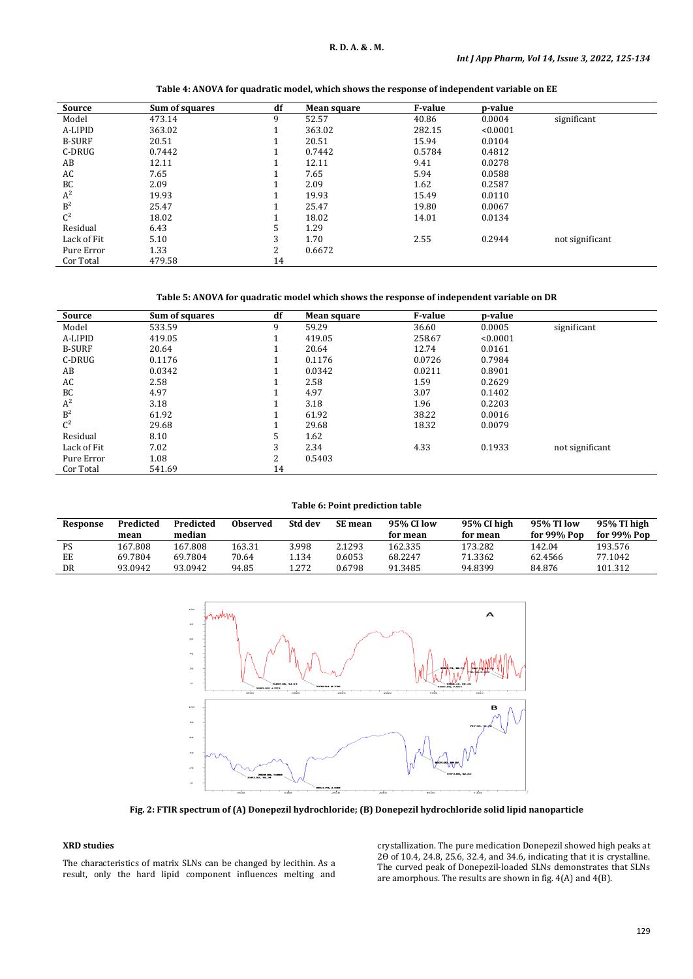| Source         | Sum of squares | df | Mean square | <b>F-value</b> | p-value  |                 |
|----------------|----------------|----|-------------|----------------|----------|-----------------|
| Model          | 473.14         | 9  | 52.57       | 40.86          | 0.0004   | significant     |
| A-LIPID        | 363.02         |    | 363.02      | 282.15         | < 0.0001 |                 |
| <b>B-SURF</b>  | 20.51          |    | 20.51       | 15.94          | 0.0104   |                 |
| C-DRUG         | 0.7442         |    | 0.7442      | 0.5784         | 0.4812   |                 |
| AB             | 12.11          |    | 12.11       | 9.41           | 0.0278   |                 |
| AC             | 7.65           |    | 7.65        | 5.94           | 0.0588   |                 |
| BC             | 2.09           |    | 2.09        | 1.62           | 0.2587   |                 |
| $A^2$          | 19.93          |    | 19.93       | 15.49          | 0.0110   |                 |
| B <sup>2</sup> | 25.47          |    | 25.47       | 19.80          | 0.0067   |                 |
| $C^2$          | 18.02          |    | 18.02       | 14.01          | 0.0134   |                 |
| Residual       | 6.43           | 5  | 1.29        |                |          |                 |
| Lack of Fit    | 5.10           | 3  | 1.70        | 2.55           | 0.2944   | not significant |
| Pure Error     | 1.33           | C  | 0.6672      |                |          |                 |
| Cor Total      | 479.58         | 14 |             |                |          |                 |

# **Table 4: ANOVA for quadratic model, which shows the response of independent variable on EE**

# **Table 5: ANOVA for quadratic model which shows the response of independent variable on DR**

| Source         | Sum of squares | df | Mean square | <b>F-value</b> | p-value  |                 |
|----------------|----------------|----|-------------|----------------|----------|-----------------|
| Model          | 533.59         | 9  | 59.29       | 36.60          | 0.0005   | significant     |
| A-LIPID        | 419.05         |    | 419.05      | 258.67         | < 0.0001 |                 |
| <b>B-SURF</b>  | 20.64          |    | 20.64       | 12.74          | 0.0161   |                 |
| C-DRUG         | 0.1176         |    | 0.1176      | 0.0726         | 0.7984   |                 |
| AB             | 0.0342         |    | 0.0342      | 0.0211         | 0.8901   |                 |
| AC             | 2.58           |    | 2.58        | 1.59           | 0.2629   |                 |
| BC             | 4.97           |    | 4.97        | 3.07           | 0.1402   |                 |
| $A^2$          | 3.18           |    | 3.18        | 1.96           | 0.2203   |                 |
| B <sup>2</sup> | 61.92          |    | 61.92       | 38.22          | 0.0016   |                 |
| $C^2$          | 29.68          |    | 29.68       | 18.32          | 0.0079   |                 |
| Residual       | 8.10           |    | 1.62        |                |          |                 |
| Lack of Fit    | 7.02           | 3  | 2.34        | 4.33           | 0.1933   | not significant |
| Pure Error     | 1.08           | 2  | 0.5403      |                |          |                 |
| Cor Total      | 541.69         | 14 |             |                |          |                 |

**Table 6: Point prediction table**

| Response | Predicted | Predicted | <b>Observed</b> | Std dev | <b>SE</b> mean | 95% CI low | 95% CI high | 95% TI low    | 95% TI high |
|----------|-----------|-----------|-----------------|---------|----------------|------------|-------------|---------------|-------------|
|          | mean      | median    |                 |         |                | for mean   | for mean    | for $99%$ Pop | for 99% Pop |
| PS       | 167.808   | 167.808   | 163.31          | 3.998   | 2.1293         | 162.335    | 173.282     | 142.04        | 193.576     |
| EE       | 69.7804   | 69.7804   | 70.64           | 1.134   | 0.6053         | 68.2247    | 71.3362     | 62.4566       | 77.1042     |
| DR       | 93.0942   | 93.0942   | 94.85           | 1.272   | 0.6798         | 91.3485    | 94.8399     | 84.876        | 101.312     |



**Fig. 2: FTIR spectrum of (A) Donepezil hydrochloride; (B) Donepezil hydrochloride solid lipid nanoparticle**

# **XRD studies**

The characteristics of matrix SLNs can be changed by lecithin. As a result, only the hard lipid component influences melting and

crystallization. The pure medication Donepezil showed high peaks at 20 of 10.4, 24.8, 25.6, 32.4, and 34.6, indicating that it is crystalline. The curved peak of Donepezil-loaded SLNs demonstrates that SLNs are amorphous. The results are shown in fig. 4(A) and 4(B).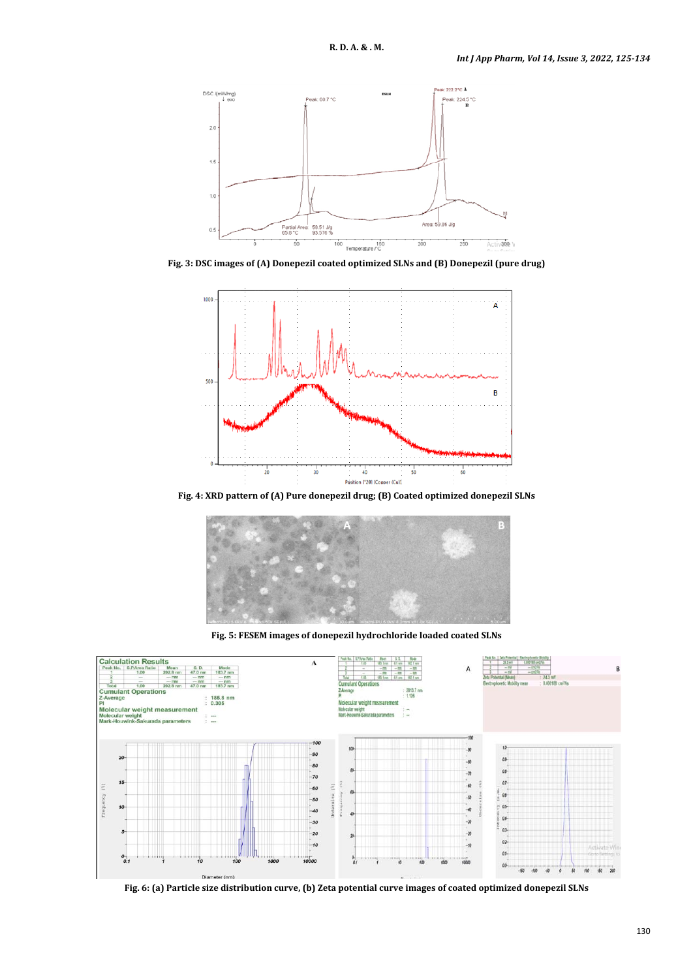

**Fig. 3: DSC images of (A) Donepezil coated optimized SLNs and (B) Donepezil (pure drug)**



**Fig. 4: XRD pattern of (A) Pure donepezil drug; (B) Coated optimized donepezil SLNs**



**Fig. 5: FESEM images of donepezil hydrochloride loaded coated SLNs**



**Fig. 6: (a) Particle size distribution curve, (b) Zeta potential curve images of coated optimized donepezil SLNs**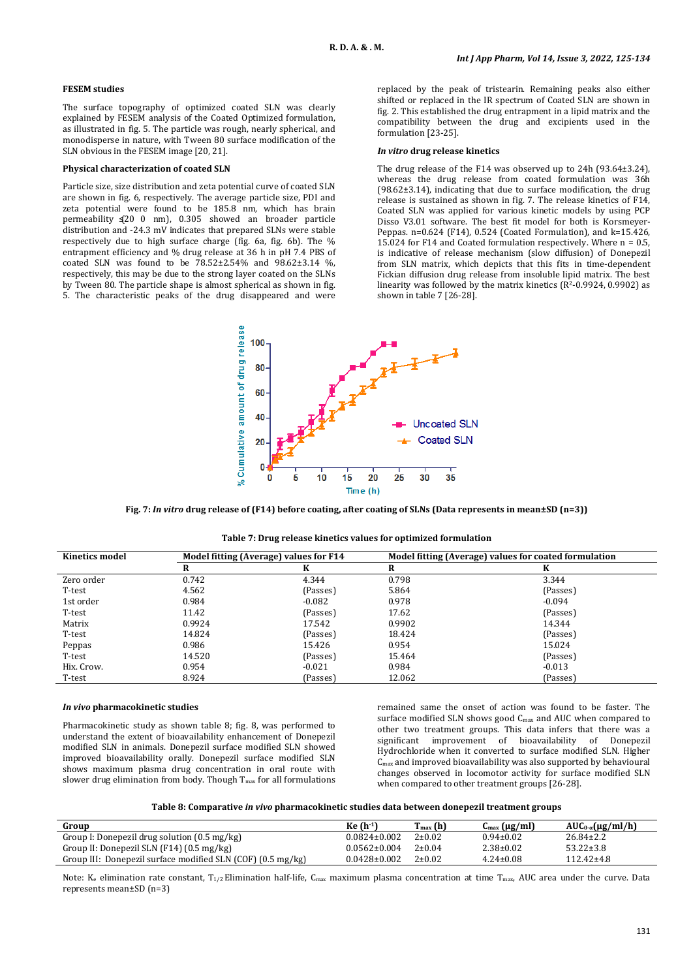# **FESEM studies**

The surface topography of optimized coated SLN was clearly explained by FESEM analysis of the Coated Optimized formulation, as illustrated in fig. 5. The particle was rough, nearly spherical, and monodisperse in nature, with Tween 80 surface modification of the SLN obvious in the FESEM image [20, 21].

#### **Physical characterization of coated SLN**

Particle size, size distribution and zeta potential curve of coated SLN are shown in fig. 6, respectively. The average particle size, PDI and zeta potential were found to be 185.8 nm, which has brain permeability  $(20 \ 0 \ nm)$ , 0.305 showed an broader particle distribution and -24.3 mV indicates that prepared SLNs were stable respectively due to high surface charge (fig. 6a, fig. 6b). The % entrapment efficiency and % drug release at 36 h in pH 7.4 PBS of coated SLN was found to be  $78.52 \pm 2.54$ % and  $98.62 \pm 3.14$  %, respectively, this may be due to the strong layer coated on the SLNs by Tween 80. The particle shape is almost spherical as shown in fig. 5. The characteristic peaks of the drug disappeared and were

replaced by the peak of tristearin. Remaining peaks also either shifted or replaced in the IR spectrum of Coated SLN are shown in fig. 2. This established the drug entrapment in a lipid matrix and the compatibility between the drug and excipients used in the formulation [23-25].

#### *In vitro* **drug release kinetics**

The drug release of the F14 was observed up to 24h (93.64±3.24), whereas the drug release from coated formulation was 36h (98.62±3.14), indicating that due to surface modification, the drug release is sustained as shown in fig. 7. The release kinetics of F14, Coated SLN was applied for various kinetic models by using PCP Disso V3.01 software. The best fit model for both is Korsmeyer-Peppas. n=0.624 (F14), 0.524 (Coated Formulation), and k=15.426, 15.024 for F14 and Coated formulation respectively. Where n = 0.5, is indicative of release mechanism (slow diffusion) of Donepezil from SLN matrix, which depicts that this fits in time-dependent Fickian diffusion drug release from insoluble lipid matrix. The best linearity was followed by the matrix kinetics  $(R^2-0.9924, 0.9902)$  as shown in table 7 [26-28].



**Fig. 7:** *In vitro* **drug release of (F14) before coating, after coating of SLNs (Data represents in mean±SD (n=3))**

| Table 7: Drug release kinetics values for optimized formulation |
|-----------------------------------------------------------------|
|-----------------------------------------------------------------|

| Kinetics model |        | Model fitting (Average) values for F14 |        | Model fitting (Average) values for coated formulation |
|----------------|--------|----------------------------------------|--------|-------------------------------------------------------|
|                | R      |                                        | R      | K                                                     |
| Zero order     | 0.742  | 4.344                                  | 0.798  | 3.344                                                 |
| T-test         | 4.562  | (Passes)                               | 5.864  | (Passes)                                              |
| 1st order      | 0.984  | $-0.082$                               | 0.978  | $-0.094$                                              |
| T-test         | 11.42  | (Passes)                               | 17.62  | (Passes)                                              |
| Matrix         | 0.9924 | 17.542                                 | 0.9902 | 14.344                                                |
| T-test         | 14.824 | (Passes)                               | 18.424 | (Passes)                                              |
| Peppas         | 0.986  | 15.426                                 | 0.954  | 15.024                                                |
| T-test         | 14.520 | (Passes)                               | 15.464 | (Passes)                                              |
| Hix. Crow.     | 0.954  | $-0.021$                               | 0.984  | $-0.013$                                              |
| T-test         | 8.924  | (Passes)                               | 12.062 | (Passes)                                              |

#### *In vivo* **pharmacokinetic studies**

Pharmacokinetic study as shown table 8; fig. 8, was performed to understand the extent of bioavailability enhancement of Donepezil modified SLN in animals. Donepezil surface modified SLN showed improved bioavailability orally. Donepezil surface modified SLN shows maximum plasma drug concentration in oral route with slower drug elimination from body. Though  $T_{\text{max}}$  for all formulations

remained same the onset of action was found to be faster. The surface modified SLN shows good C<sub>max</sub> and AUC when compared to other two treatment groups. This data infers that there was a significant improvement of bioavailability of Donepezil significant improvement of bioavailability Hydrochloride when it converted to surface modified SLN. Higher Cmax and improved bioavailability was also supported by behavioural changes observed in locomotor activity for surface modified SLN when compared to other treatment groups [26-28].

**Table 8: Comparative** *in vivo* **pharmacokinetic studies data between donepezil treatment groups**

| Group                                                       | Ke (h-1)           | $T_{\text{max}}(h)$ | $C_{\text{max}} (\mu g/ml)$ | $AUC_{0-\alpha}(\mu g/ml/h)$ |
|-------------------------------------------------------------|--------------------|---------------------|-----------------------------|------------------------------|
| Group I: Donepezil drug solution (0.5 mg/kg)                | $0.0824 \pm 0.002$ | $2 \pm 0.02$        | $0.94 \pm 0.02$             | $26.84 \pm 2.2$              |
| Group II: Donepezil SLN (F14) (0.5 mg/kg)                   | $0.0562 \pm 0.004$ | $2 \pm 0.04$        | $2.38 \pm 0.02$             | $53.22 \pm 3.8$              |
| Group III: Donepezil surface modified SLN (COF) (0.5 mg/kg) | $0.0428 \pm 0.002$ | $2 \pm 0.02$        | $4.24 \pm 0.08$             | $112.42 \pm 4.8$             |

Note: K<sub>e</sub> elimination rate constant, T<sub>1/2</sub> Elimination half-life, C<sub>max</sub> maximum plasma concentration at time T<sub>max</sub>, AUC area under the curve. Data represents mean±SD (n=3)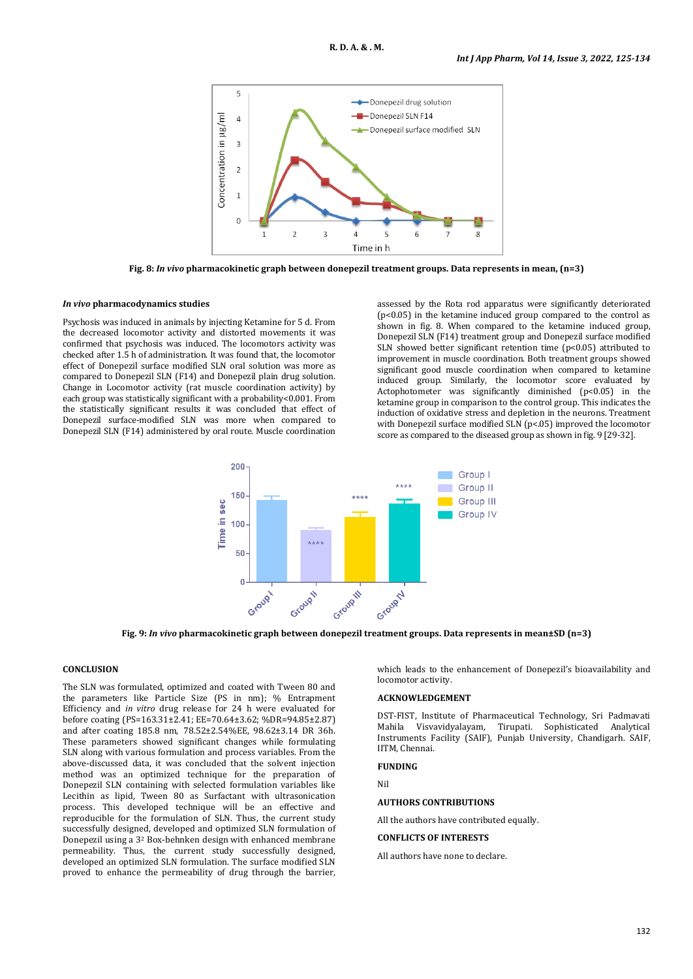

**Fig. 8:** *In vivo* **pharmacokinetic graph between donepezil treatment groups. Data represents in mean, (n=3)**

## *In vivo* **pharmacodynamics studies**

Psychosis was induced in animals by injecting Ketamine for 5 d. From the decreased locomotor activity and distorted movements it was confirmed that psychosis was induced. The locomotors activity was checked after 1.5 h of administration. It was found that, the locomotor effect of Donepezil surface modified SLN oral solution was more as compared to Donepezil SLN (F14) and Donepezil plain drug solution. Change in Locomotor activity (rat muscle coordination activity) by each group was statistically significant with a probability<0.001. From the statistically significant results it was concluded that effect of Donepezil surface-modified SLN was more when compared to Donepezil SLN (F14) administered by oral route. Muscle coordination

assessed by the Rota rod apparatus were significantly deteriorated (p<0.05) in the ketamine induced group compared to the control as shown in fig. 8. When compared to the ketamine induced group, Donepezil SLN (F14) treatment group and Donepezil surface modified SLN showed better significant retention time (p<0.05) attributed to improvement in muscle coordination. Both treatment groups showed significant good muscle coordination when compared to ketamine induced group. Similarly, the locomotor score evaluated by Actophotometer was significantly diminished (p<0.05) in the ketamine group in comparison to the control group. This indicates the induction of oxidative stress and depletion in the neurons. Treatment with Donepezil surface modified SLN (p<.05) improved the locomotor score as compared to the diseased group as shown in fig. 9 [29-32].



**Fig. 9:** *In vivo* **pharmacokinetic graph between donepezil treatment groups. Data represents in mean±SD (n=3)**

# **CONCLUSION**

The SLN was formulated, optimized and coated with Tween 80 and the parameters like Particle Size (PS in nm); % Entrapment Efficiency and *in vitro* drug release for 24 h were evaluated for before coating (PS=163.31±2.41; EE=70.64±3.62; %DR=94.85±2.87) and after coating 185.8 nm, 78.52±2.54%EE, 98.62±3.14 DR 36h. These parameters showed significant changes while formulating SLN along with various formulation and process variables. From the above-discussed data, it was concluded that the solvent injection method was an optimized technique for the preparation of Donepezil SLN containing with selected formulation variables like Lecithin as lipid, Tween 80 as Surfactant with ultrasonication process. This developed technique will be an effective and reproducible for the formulation of SLN. Thus, the current study successfully designed, developed and optimized SLN formulation of Donepezil using a 32 Box-behnken design with enhanced membrane permeability. Thus, the current study successfully designed, developed an optimized SLN formulation. The surface modified SLN proved to enhance the permeability of drug through the barrier,

which leads to the enhancement of Donepezil's bioavailability and locomotor activity.

#### **ACKNOWLEDGEMENT**

DST-FIST, Institute of Pharmaceutical Technology, Sri Padmavati Mahila Visvavidyalayam, Tirupati. Sophisticated Analytical Instruments Facility (SAIF), Punjab University, Chandigarh. SAIF, IITM, Chennai.

## **FUNDING**

Nil

#### **AUTHORS CONTRIBUTIONS**

All the authors have contributed equally.

#### **CONFLICTS OF INTERESTS**

All authors have none to declare.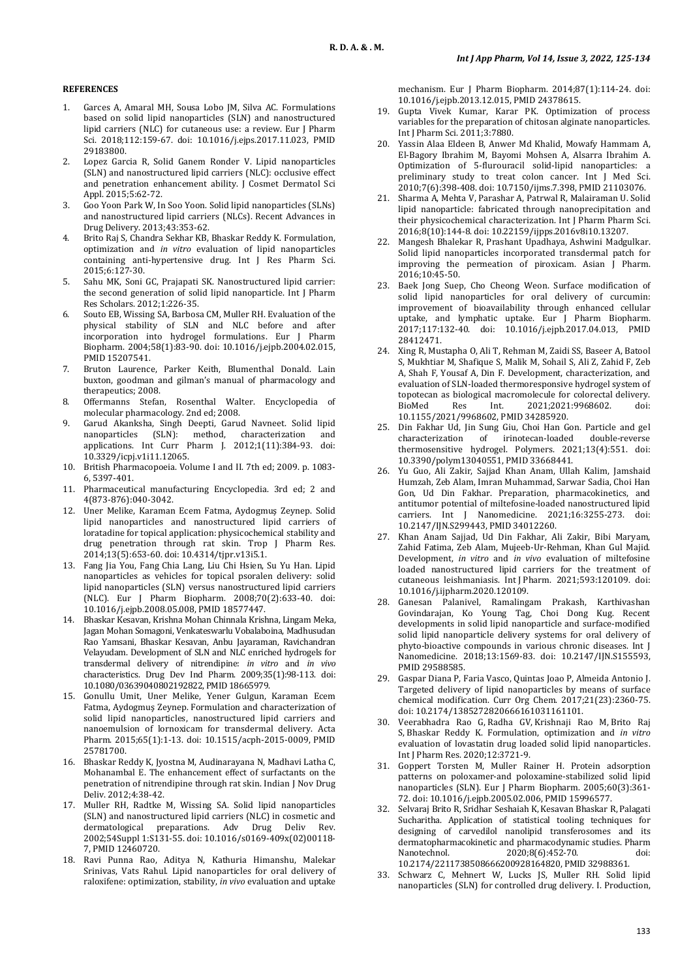# **REFERENCES**

- 1. Garces A, Amaral MH, Sousa Lobo JM, Silva AC. Formulations based on solid lipid nanoparticles (SLN) and nanostructured lipid carriers (NLC) for cutaneous use: a review. Eur J Pharm Sci. 2018;112:159-67. doi: [10.1016/j.ejps.2017.11.023,](https://doi.org/10.1016/j.ejps.2017.11.023) PMID [29183800.](https://www.ncbi.nlm.nih.gov/pubmed/29183800)
- 2. Lopez Garcia R, Solid Ganem Ronder V. Lipid nanoparticles (SLN) and nanostructured lipid carriers (NLC): occlusive effect and penetration enhancement ability. J Cosmet Dermatol Sci Appl. 2015;5:62-72.
- 3. Goo Yoon Park W, In Soo Yoon. Solid lipid nanoparticles (SLNs) and nanostructured lipid carriers (NLCs). Recent Advances in Drug Delivery. 2013;43:353-62.
- 4. Brito Raj S, Chandra Sekhar KB, Bhaskar Reddy K. Formulation, optimization and *in vitro* evaluation of lipid nanoparticles containing anti-hypertensive drug. Int J Res Pharm Sci. 2015;6:127-30.
- 5. Sahu MK, Soni GC, Prajapati SK. Nanostructured lipid carrier: the second generation of solid lipid nanoparticle. Int J Pharm Res Scholars. 2012;1:226-35.
- 6. Souto EB, Wissing SA, Barbosa CM, Muller RH. Evaluation of the physical stability of SLN and NLC before and after incorporation into hydrogel formulations. Eur J Pharm Biopharm. 2004;58(1):83-90. doi: [10.1016/j.ejpb.2004.02.015,](https://doi.org/10.1016/j.ejpb.2004.02.015)  PMI[D 15207541.](https://www.ncbi.nlm.nih.gov/pubmed/15207541)
- 7. Bruton Laurence, Parker Keith, Blumenthal Donald. Lain buxton, goodman and gilman's manual of pharmacology and therapeutics; 2008.
- 8. Offermanns Stefan, Rosenthal Walter. Encyclopedia of molecular pharmacology. 2nd ed; 2008.
- 9. Garud Akanksha, Singh Deepti, Garud Navneet. Solid lipid method, characterization applications. Int Curr Pharm J. 2012;1(11):384-93. doi: [10.3329/icpj.v1i11.12065.](https://doi.org/10.3329/icpj.v1i11.12065)
- 10. British Pharmacopoeia. Volume I and II. 7th ed; 2009. p. 1083- 6, 5397-401.
- 11. Pharmaceutical manufacturing Encyclopedia. 3rd ed; 2 and 4(873-876):040-3042.
- 12. Uner Melike, Karaman Ecem Fatma, Aydogmuş Zeynep. Solid lipid nanoparticles and nanostructured lipid carriers of loratadine for topical application: physicochemical stability and drug penetration through rat skin. Trop J Pharm Res. 2014;13(5):653-60. doi[: 10.4314/tjpr.v13i5.1.](https://doi.org/10.4314/tjpr.v13i5.1)
- 13. Fang Jia You, Fang Chia Lang, Liu Chi Hsien, Su Yu Han. Lipid nanoparticles as vehicles for topical psoralen delivery: solid lipid nanoparticles (SLN) versus nanostructured lipid carriers (NLC). Eur J Pharm Biopharm. 2008;70(2):633-40. doi: [10.1016/j.ejpb.2008.05.008,](https://doi.org/10.1016/j.ejpb.2008.05.008) PMI[D 18577447.](https://www.ncbi.nlm.nih.gov/pubmed/18577447)
- 14. Bhaskar Kesavan, Krishna Mohan Chinnala Krishna, Lingam Meka, Jagan Mohan Somagoni, Venkateswarlu Vobalaboina, Madhusudan Rao Yamsani, Bhaskar Kesavan, Anbu Jayaraman, Ravichandran Velayudam. Development of SLN and NLC enriched hydrogels for transdermal delivery of nitrendipine: *in vitro* and *in vivo* characteristics. Drug Dev Ind Pharm. 2009;35(1):98-113. doi: [10.1080/03639040802192822,](https://doi.org/10.1080/03639040802192822) PMI[D 18665979.](https://www.ncbi.nlm.nih.gov/pubmed/18665979)
- 15. Gonullu Umit, Uner Melike, Yener Gulgun, Karaman Ecem Fatma, Aydogmuş Zeynep. Formulation and characterization of solid lipid nanoparticles, nanostructured lipid carriers and nanoemulsion of lornoxicam for transdermal delivery. Acta Pharm. 2015;65(1):1-13. doi: [10.1515/acph-2015-0009,](https://doi.org/10.1515/acph-2015-0009) PMID [25781700.](https://www.ncbi.nlm.nih.gov/pubmed/25781700)
- 16. Bhaskar Reddy K, Jyostna M, Audinarayana N, Madhavi Latha C, Mohanambal E. The enhancement effect of surfactants on the penetration of nitrendipine through rat skin. Indian J Nov Drug Deliv. 2012;4:38-42.
- 17. Muller RH, Radtke M, Wissing SA. Solid lipid nanoparticles (SLN) and nanostructured lipid carriers (NLC) in cosmetic and dermatological preparations. Adv Drug Deliv Rev. 2002;54Suppl 1:S131-55. doi: [10.1016/s0169-409x\(02\)00118-](https://doi.org/10.1016/s0169-409x(02)00118-7) [7,](https://doi.org/10.1016/s0169-409x(02)00118-7) PMI[D 12460720.](https://www.ncbi.nlm.nih.gov/pubmed/12460720)
- 18. Ravi Punna Rao, Aditya N, Kathuria Himanshu, Malekar Srinivas, Vats Rahul. Lipid nanoparticles for oral delivery of raloxifene: optimization, stability, *in vivo* evaluation and uptake

mechanism. Eur J Pharm Biopharm. 2014;87(1):114-24. doi: [10.1016/j.ejpb.2013.12.015,](https://doi.org/10.1016/j.ejpb.2013.12.015) PMI[D 24378615.](https://www.ncbi.nlm.nih.gov/pubmed/24378615)

- 19. Gupta Vivek Kumar, Karar PK. Optimization of process variables for the preparation of chitosan alginate nanoparticles. Int J Pharm Sci. 2011;3:7880.
- 20. Yassin Alaa Eldeen B, Anwer Md Khalid, Mowafy Hammam A, El-Bagory Ibrahim M, Bayomi Mohsen A, Alsarra Ibrahim A. Optimization of 5-flurouracil solid-lipid nanoparticles: a preliminary study to treat colon cancer. Int J Med Sci. 2010;7(6):398-408. doi[: 10.7150/ijms.7.398,](https://doi.org/10.7150/ijms.7.398) PMI[D 21103076.](https://www.ncbi.nlm.nih.gov/pubmed/21103076)
- 21. Sharma A, Mehta V, Parashar A, Patrwal R, Malairaman U. Solid lipid nanoparticle: fabricated through nanoprecipitation and their physicochemical characterization. Int J Pharm Pharm Sci. 2016;8(10):144-8. doi[: 10.22159/ijpps.2016v8i10.13207.](https://doi.org/10.22159/ijpps.2016v8i10.13207)
- 22. Mangesh Bhalekar R, Prashant Upadhaya, Ashwini Madgulkar. Solid lipid nanoparticles incorporated transdermal patch for improving the permeation of piroxicam. Asian J Pharm. 2016;10:45-50.
- 23. Baek Jong Suep, Cho Cheong Weon. Surface modification of solid lipid nanoparticles for oral delivery of curcumin: improvement of bioavailability through enhanced cellular uptake, and lymphatic uptake. Eur J Pharm Biopharm. 2017;117:132-40. doi: [10.1016/j.ejpb.2017.04.013,](https://doi.org/10.1016/j.ejpb.2017.04.013) PMID [28412471.](https://www.ncbi.nlm.nih.gov/pubmed/28412471)
- 24. Xing R, Mustapha O, Ali T, Rehman M, Zaidi SS, Baseer A, Batool S, Mukhtiar M, Shafique S, Malik M, Sohail S, Ali Z, Zahid F, Zeb A, Shah F, Yousaf A, Din F. Development, characterization, and evaluation of SLN-loaded thermoresponsive hydrogel system of topotecan as biological macromolecule for colorectal delivery.<br>BioMed Bes Int 2021:2021:9968602 doi: 2021:2021:9968602 [10.1155/2021/9968602,](https://doi.org/10.1155/2021/9968602) PMI[D 34285920.](https://www.ncbi.nlm.nih.gov/pubmed/34285920)
- 25. Din Fakhar Ud, Jin Sung Giu, Choi Han Gon. Particle and gel of irinotecan-loaded thermosensitive hydrogel. Polymers. 2021;13(4):551. doi: [10.3390/polym13040551,](https://doi.org/10.3390/polym13040551) PMI[D 33668441.](https://www.ncbi.nlm.nih.gov/pubmed/33668441)
- 26. Yu Guo, Ali Zakir, Sajjad Khan Anam, Ullah Kalim, Jamshaid Humzah, Zeb Alam, Imran Muhammad, Sarwar Sadia, Choi Han Gon, Ud Din Fakhar. Preparation, pharmacokinetics, and antitumor potential of miltefosine-loaded nanostructured lipid carriers. Int J Nanomedicine. 2021;16:3255-273. doi: [10.2147/IJN.S299443,](https://doi.org/10.2147/IJN.S299443) PMI[D 34012260.](https://www.ncbi.nlm.nih.gov/pubmed/34012260)
- 27. Khan Anam Sajjad, Ud Din Fakhar, Ali Zakir, Bibi Maryam, Zahid Fatima, Zeb Alam, Mujeeb-Ur-Rehman, Khan Gul Majid. Development, *in vitro* and *in vivo* evaluation of miltefosine loaded nanostructured lipid carriers for the treatment of cutaneous leishmaniasis. Int J Pharm. 2021;593:120109. doi: [10.1016/j.ijpharm.2020.120109.](https://doi.org/10.1016/j.ijpharm.2020.120109)
- 28. Ganesan Palanivel, Ramalingam Prakash, Karthivashan Govindarajan, Ko Young Tag, Choi Dong Kug. Recent developments in solid lipid nanoparticle and surface-modified solid lipid nanoparticle delivery systems for oral delivery of phyto-bioactive compounds in various chronic diseases. Int J Nanomedicine. 2018;13:1569-83. doi: [10.2147/IJN.S155593,](https://doi.org/10.2147/IJN.S155593)  PMI[D 29588585.](https://www.ncbi.nlm.nih.gov/pubmed/29588585)
- 29. Gaspar Diana P, Faria Vasco, Quintas Joao P, Almeida Antonio J. Targeted delivery of lipid nanoparticles by means of surface chemical modification. Curr Org Chem. 2017;21(23):2360-75. doi[: 10.2174/1385272820666161031161101.](https://doi.org/10.2174/1385272820666161031161101)
- 30. Veerabhadra Rao G, Radha GV, Krishnaji Rao M, Brito Raj S, Bhaskar Reddy K. Formulation, optimization and *in vitro* evaluation of lovastatin drug loaded solid lipid nanoparticles. Int J Pharm Res. 2020;12:3721-9.
- 31. Goppert Torsten M, Muller Rainer H. Protein adsorption patterns on poloxamer-and poloxamine-stabilized solid lipid nanoparticles (SLN). Eur J Pharm Biopharm. 2005;60(3):361- 72. doi[: 10.1016/j.ejpb.2005.02.006,](https://doi.org/10.1016/j.ejpb.2005.02.006) PMI[D 15996577.](https://www.ncbi.nlm.nih.gov/pubmed/15996577)
- 32. Selvaraj Brito R, Sridhar Seshaiah K, Kesavan Bhaskar R, Palagati Sucharitha. Application of statistical tooling techniques for designing of carvedilol nanolipid transferosomes and its dermatopharmacokinetic and pharmacodynamic studies. Pharm<br>Nanotechnol. 2020:8661:452-70. doi: Nanotechnol. 2020;8(6):452-70. doi:
- [10.2174/2211738508666200928164820,](https://doi.org/10.2174/2211738508666200928164820) PMI[D 32988361.](https://www.ncbi.nlm.nih.gov/pubmed/32988361) 33. Schwarz C, Mehnert W, Lucks JS, Muller RH. Solid lipid
- nanoparticles (SLN) for controlled drug delivery. I. Production,